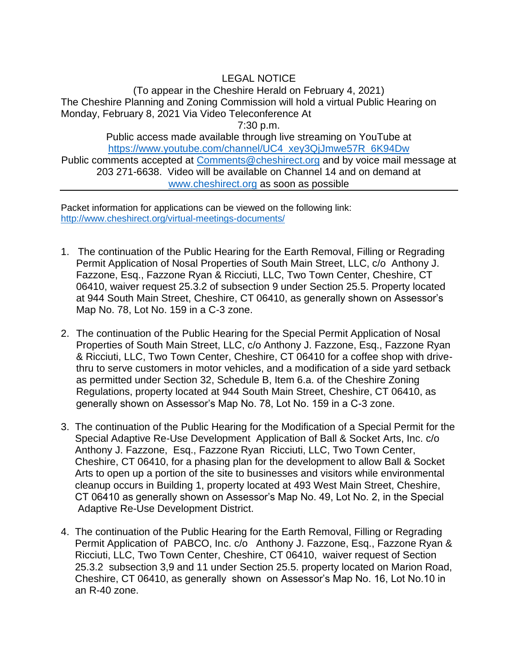LEGAL NOTICE (To appear in the Cheshire Herald on February 4, 2021) The Cheshire Planning and Zoning Commission will hold a virtual Public Hearing on Monday, February 8, 2021 Via Video Teleconference At 7:30 p.m. Public access made available through live streaming on YouTube at [https://www.youtube.com/channel/UC4\\_xey3QjJmwe57R\\_6K94Dw](https://www.youtube.com/channel/UC4_xey3QjJmwe57R_6K94Dw) Public comments accepted at [Comments@cheshirect.org](mailto:Comments@cheshirect.org) and by voice mail message at 203 271-6638. Video will be available on Channel 14 and on demand at [www.cheshirect.org](http://www.cheshirect.org/) as soon as possible

Packet information for applications can be viewed on the following link: <http://www.cheshirect.org/virtual-meetings-documents/>

- 1. The continuation of the Public Hearing for the Earth Removal, Filling or Regrading Permit Application of Nosal Properties of South Main Street, LLC, c/o Anthony J. Fazzone, Esq., Fazzone Ryan & Ricciuti, LLC, Two Town Center, Cheshire, CT 06410, waiver request 25.3.2 of subsection 9 under Section 25.5. Property located at 944 South Main Street, Cheshire, CT 06410, as generally shown on Assessor's Map No. 78, Lot No. 159 in a C-3 zone.
- 2. The continuation of the Public Hearing for the Special Permit Application of Nosal Properties of South Main Street, LLC, c/o Anthony J. Fazzone, Esq., Fazzone Ryan & Ricciuti, LLC, Two Town Center, Cheshire, CT 06410 for a coffee shop with drivethru to serve customers in motor vehicles, and a modification of a side yard setback as permitted under Section 32, Schedule B, Item 6.a. of the Cheshire Zoning Regulations, property located at 944 South Main Street, Cheshire, CT 06410, as generally shown on Assessor's Map No. 78, Lot No. 159 in a C-3 zone.
- 3. The continuation of the Public Hearing for the Modification of a Special Permit for the Special Adaptive Re-Use Development Application of Ball & Socket Arts, Inc. c/o Anthony J. Fazzone, Esq., Fazzone Ryan Ricciuti, LLC, Two Town Center, Cheshire, CT 06410, for a phasing plan for the development to allow Ball & Socket Arts to open up a portion of the site to businesses and visitors while environmental cleanup occurs in Building 1, property located at 493 West Main Street, Cheshire, CT 06410 as generally shown on Assessor's Map No. 49, Lot No. 2, in the Special Adaptive Re-Use Development District.
- 4. The continuation of the Public Hearing for the Earth Removal, Filling or Regrading Permit Application of PABCO, Inc. c/o Anthony J. Fazzone, Esq., Fazzone Ryan & Ricciuti, LLC, Two Town Center, Cheshire, CT 06410, waiver request of Section 25.3.2 subsection 3,9 and 11 under Section 25.5. property located on Marion Road, Cheshire, CT 06410, as generally shown on Assessor's Map No. 16, Lot No.10 in an R-40 zone.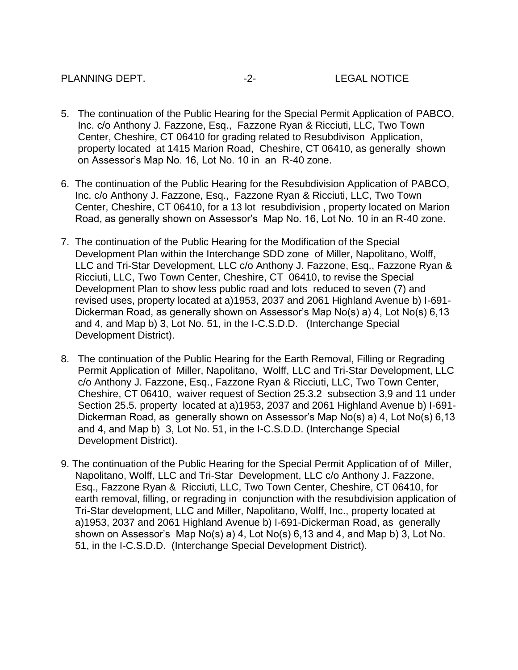- 5. The continuation of the Public Hearing for the Special Permit Application of PABCO, Inc. c/o Anthony J. Fazzone, Esq., Fazzone Ryan & Ricciuti, LLC, Two Town Center, Cheshire, CT 06410 for grading related to Resubdivison Application, property located at 1415 Marion Road, Cheshire, CT 06410, as generally shown on Assessor's Map No. 16, Lot No. 10 in an R-40 zone.
- 6. The continuation of the Public Hearing for the Resubdivision Application of PABCO, Inc. c/o Anthony J. Fazzone, Esq., Fazzone Ryan & Ricciuti, LLC, Two Town Center, Cheshire, CT 06410, for a 13 lot resubdivision , property located on Marion Road, as generally shown on Assessor's Map No. 16, Lot No. 10 in an R-40 zone.
- 7. The continuation of the Public Hearing for the Modification of the Special Development Plan within the Interchange SDD zone of Miller, Napolitano, Wolff, LLC and Tri-Star Development, LLC c/o Anthony J. Fazzone, Esq., Fazzone Ryan & Ricciuti, LLC, Two Town Center, Cheshire, CT 06410, to revise the Special Development Plan to show less public road and lots reduced to seven (7) and revised uses, property located at a)1953, 2037 and 2061 Highland Avenue b) I-691- Dickerman Road, as generally shown on Assessor's Map No(s) a) 4, Lot No(s) 6,13 and 4, and Map b) 3, Lot No. 51, in the I-C.S.D.D. (Interchange Special Development District).
- 8. The continuation of the Public Hearing for the Earth Removal, Filling or Regrading Permit Application of Miller, Napolitano, Wolff, LLC and Tri-Star Development, LLC c/o Anthony J. Fazzone, Esq., Fazzone Ryan & Ricciuti, LLC, Two Town Center, Cheshire, CT 06410, waiver request of Section 25.3.2 subsection 3,9 and 11 under Section 25.5. property located at a)1953, 2037 and 2061 Highland Avenue b) I-691- Dickerman Road, as generally shown on Assessor's Map No(s) a) 4, Lot No(s) 6,13 and 4, and Map b) 3, Lot No. 51, in the I-C.S.D.D. (Interchange Special Development District).
- 9. The continuation of the Public Hearing for the Special Permit Application of of Miller, Napolitano, Wolff, LLC and Tri-Star Development, LLC c/o Anthony J. Fazzone, Esq., Fazzone Ryan & Ricciuti, LLC, Two Town Center, Cheshire, CT 06410, for earth removal, filling, or regrading in conjunction with the resubdivision application of Tri-Star development, LLC and Miller, Napolitano, Wolff, Inc., property located at a)1953, 2037 and 2061 Highland Avenue b) I-691-Dickerman Road, as generally shown on Assessor's Map No(s) a) 4, Lot No(s) 6,13 and 4, and Map b) 3, Lot No. 51, in the I-C.S.D.D. (Interchange Special Development District).